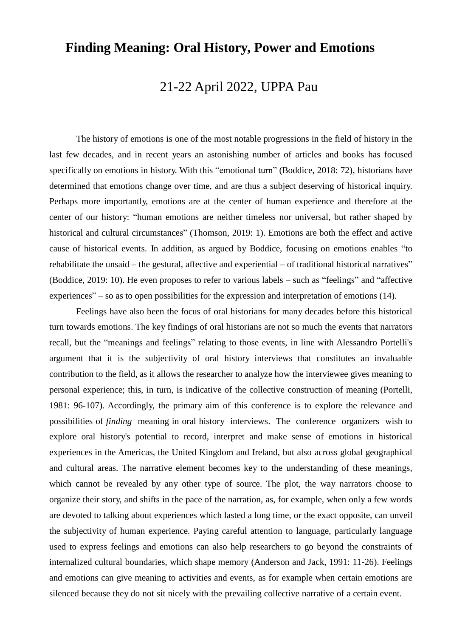# **Finding Meaning: Oral History, Power and Emotions**

## 21-22 April 2022, UPPA Pau

The history of emotions is one of the most notable progressions in the field of history in the last few decades, and in recent years an astonishing number of articles and books has focused specifically on emotions in history. With this "emotional turn" (Boddice, 2018: 72), historians have determined that emotions change over time, and are thus a subject deserving of historical inquiry. Perhaps more importantly, emotions are at the center of human experience and therefore at the center of our history: "human emotions are neither timeless nor universal, but rather shaped by historical and cultural circumstances" (Thomson, 2019: 1). Emotions are both the effect and active cause of historical events. In addition, as argued by Boddice, focusing on emotions enables "to rehabilitate the unsaid – the gestural, affective and experiential – of traditional historical narratives" (Boddice, 2019: 10). He even proposes to refer to various labels – such as "feelings" and "affective experiences" – so as to open possibilities for the expression and interpretation of emotions (14).

Feelings have also been the focus of oral historians for many decades before this historical turn towards emotions. The key findings of oral historians are not so much the events that narrators recall, but the "meanings and feelings" relating to those events, in line with Alessandro Portelli's argument that it is the subjectivity of oral history interviews that constitutes an invaluable contribution to the field, as it allows the researcher to analyze how the interviewee gives meaning to personal experience; this, in turn, is indicative of the collective construction of meaning (Portelli, 1981: 96-107). Accordingly, the primary aim of this conference is to explore the relevance and possibilities of *finding* meaning in oral history interviews. The conference organizers wish to explore oral history's potential to record, interpret and make sense of emotions in historical experiences in the Americas, the United Kingdom and Ireland, but also across global geographical and cultural areas. The narrative element becomes key to the understanding of these meanings, which cannot be revealed by any other type of source. The plot, the way narrators choose to organize their story, and shifts in the pace of the narration, as, for example, when only a few words are devoted to talking about experiences which lasted a long time, or the exact opposite, can unveil the subjectivity of human experience. Paying careful attention to language, particularly language used to express feelings and emotions can also help researchers to go beyond the constraints of internalized cultural boundaries, which shape memory (Anderson and Jack, 1991: 11-26). Feelings and emotions can give meaning to activities and events, as for example when certain emotions are silenced because they do not sit nicely with the prevailing collective narrative of a certain event.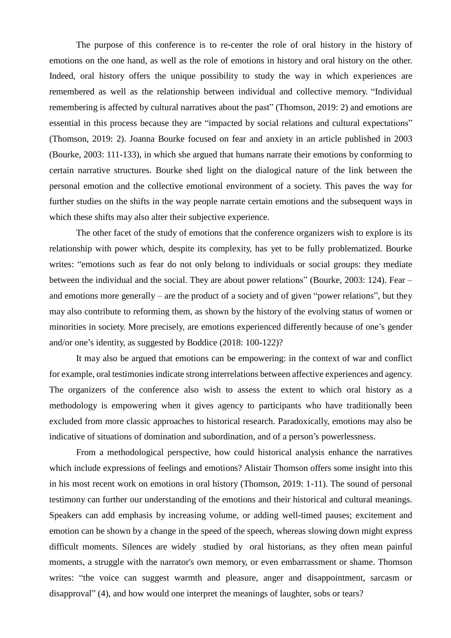The purpose of this conference is to re-center the role of oral history in the history of emotions on the one hand, as well as the role of emotions in history and oral history on the other. Indeed, oral history offers the unique possibility to study the way in which experiences are remembered as well as the relationship between individual and collective memory. "Individual remembering is affected by cultural narratives about the past" (Thomson, 2019: 2) and emotions are essential in this process because they are "impacted by social relations and cultural expectations" (Thomson, 2019: 2). Joanna Bourke focused on fear and anxiety in an article published in 2003 (Bourke, 2003: 111-133), in which she argued that humans narrate their emotions by conforming to certain narrative structures. Bourke shed light on the dialogical nature of the link between the personal emotion and the collective emotional environment of a society. This paves the way for further studies on the shifts in the way people narrate certain emotions and the subsequent ways in which these shifts may also alter their subjective experience.

The other facet of the study of emotions that the conference organizers wish to explore is its relationship with power which, despite its complexity, has yet to be fully problematized. Bourke writes: "emotions such as fear do not only belong to individuals or social groups: they mediate between the individual and the social. They are about power relations" (Bourke, 2003: 124). Fear – and emotions more generally – are the product of a society and of given "power relations", but they may also contribute to reforming them, as shown by the history of the evolving status of women or minorities in society. More precisely, are emotions experienced differently because of one's gender and/or one's identity, as suggested by Boddice (2018: 100-122)?

It may also be argued that emotions can be empowering: in the context of war and conflict for example, oral testimonies indicate strong interrelations between affective experiences and agency. The organizers of the conference also wish to assess the extent to which oral history as a methodology is empowering when it gives agency to participants who have traditionally been excluded from more classic approaches to historical research. Paradoxically, emotions may also be indicative of situations of domination and subordination, and of a person's powerlessness.

From a methodological perspective, how could historical analysis enhance the narratives which include expressions of feelings and emotions? Alistair Thomson offers some insight into this in his most recent work on emotions in oral history (Thomson, 2019: 1-11). The sound of personal testimony can further our understanding of the emotions and their historical and cultural meanings. Speakers can add emphasis by increasing volume, or adding well-timed pauses; excitement and emotion can be shown by a change in the speed of the speech, whereas slowing down might express difficult moments. Silences are widely studied by oral historians, as they often mean painful moments, a struggle with the narrator's own memory, or even embarrassment or shame. Thomson writes: "the voice can suggest warmth and pleasure, anger and disappointment, sarcasm or disapproval" (4), and how would one interpret the meanings of laughter, sobs or tears?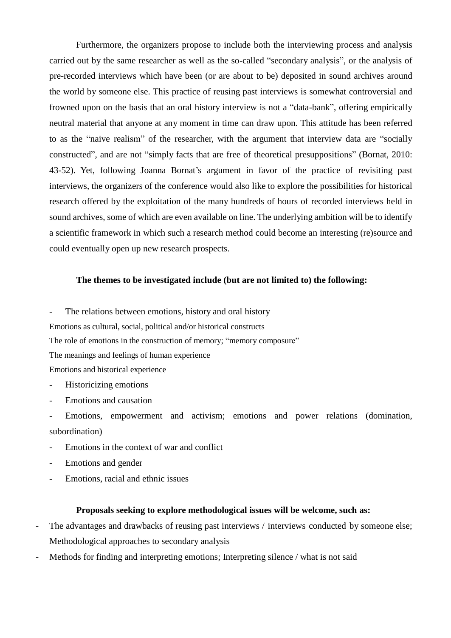Furthermore, the organizers propose to include both the interviewing process and analysis carried out by the same researcher as well as the so-called "secondary analysis", or the analysis of pre-recorded interviews which have been (or are about to be) deposited in sound archives around the world by someone else. This practice of reusing past interviews is somewhat controversial and frowned upon on the basis that an oral history interview is not a "data-bank", offering empirically neutral material that anyone at any moment in time can draw upon. This attitude has been referred to as the "naive realism" of the researcher, with the argument that interview data are "socially constructed", and are not "simply facts that are free of theoretical presuppositions" (Bornat, 2010: 43-52). Yet, following Joanna Bornat's argument in favor of the practice of revisiting past interviews, the organizers of the conference would also like to explore the possibilities for historical research offered by the exploitation of the many hundreds of hours of recorded interviews held in sound archives, some of which are even available on line. The underlying ambition will be to identify a scientific framework in which such a research method could become an interesting (re)source and could eventually open up new research prospects.

#### **The themes to be investigated include (but are not limited to) the following:**

- The relations between emotions, history and oral history

Emotions as cultural, social, political and/or historical constructs

The role of emotions in the construction of memory; "memory composure"

The meanings and feelings of human experience

Emotions and historical experience

- Historicizing emotions
- Emotions and causation
- Emotions, empowerment and activism; emotions and power relations (domination, subordination)
- Emotions in the context of war and conflict
- Emotions and gender
- Emotions, racial and ethnic issues

#### **Proposals seeking to explore methodological issues will be welcome, such as:**

- The advantages and drawbacks of reusing past interviews / interviews conducted by someone else; Methodological approaches to secondary analysis
- Methods for finding and interpreting emotions; Interpreting silence / what is not said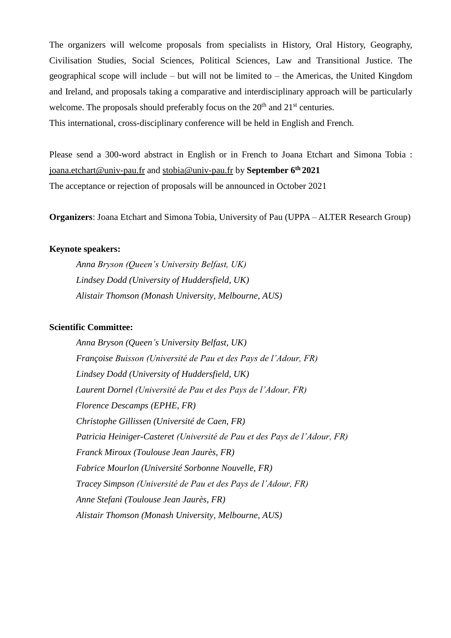The organizers will welcome proposals from specialists in History, Oral History, Geography, Civilisation Studies, Social Sciences, Political Sciences, Law and Transitional Justice. The geographical scope will include – but will not be limited to – the Americas, the United Kingdom and Ireland, and proposals taking a comparative and interdisciplinary approach will be particularly welcome. The proposals should preferably focus on the  $20<sup>th</sup>$  and  $21<sup>st</sup>$  centuries. This international, cross-disciplinary conference will be held in English and French.

Please send a 300-word abstract in English or in French to Joana Etchart and Simona Tobia : [joana.etchart@univ-pau.fr](mailto:joana.etchart@univ-pau.fr) and [stobia@univ-pau.fr](mailto:stobia@univ-pau.fr%20b) by **September 6th 2021** The acceptance or rejection of proposals will be announced in October 2021

**Organizers**: Joana Etchart and Simona Tobia, University of Pau (UPPA – ALTER Research Group)

### **Keynote speakers:**

*Anna Bryson (Queen's University Belfast, UK) Lindsey Dodd (University of Huddersfield, UK) Alistair Thomson (Monash University, Melbourne, AUS)* 

#### **Scientific Committee:**

*Anna Bryson (Queen's University Belfast, UK) Françoise Buisson (Université de Pau et des Pays de l'Adour, FR) Lindsey Dodd (University of Huddersfield, UK) Laurent Dornel (Université de Pau et des Pays de l'Adour, FR) Florence Descamps (EPHE, FR) Christophe Gillissen (Université de Caen, FR) Patricia Heiniger-Casteret (Université de Pau et des Pays de l'Adour, FR) Franck Miroux (Toulouse Jean Jaurès, FR) Fabrice Mourlon (Université Sorbonne Nouvelle, FR) Tracey Simpson (Université de Pau et des Pays de l'Adour, FR) Anne Stefani (Toulouse Jean Jaurès, FR) Alistair Thomson (Monash University, Melbourne, AUS)*